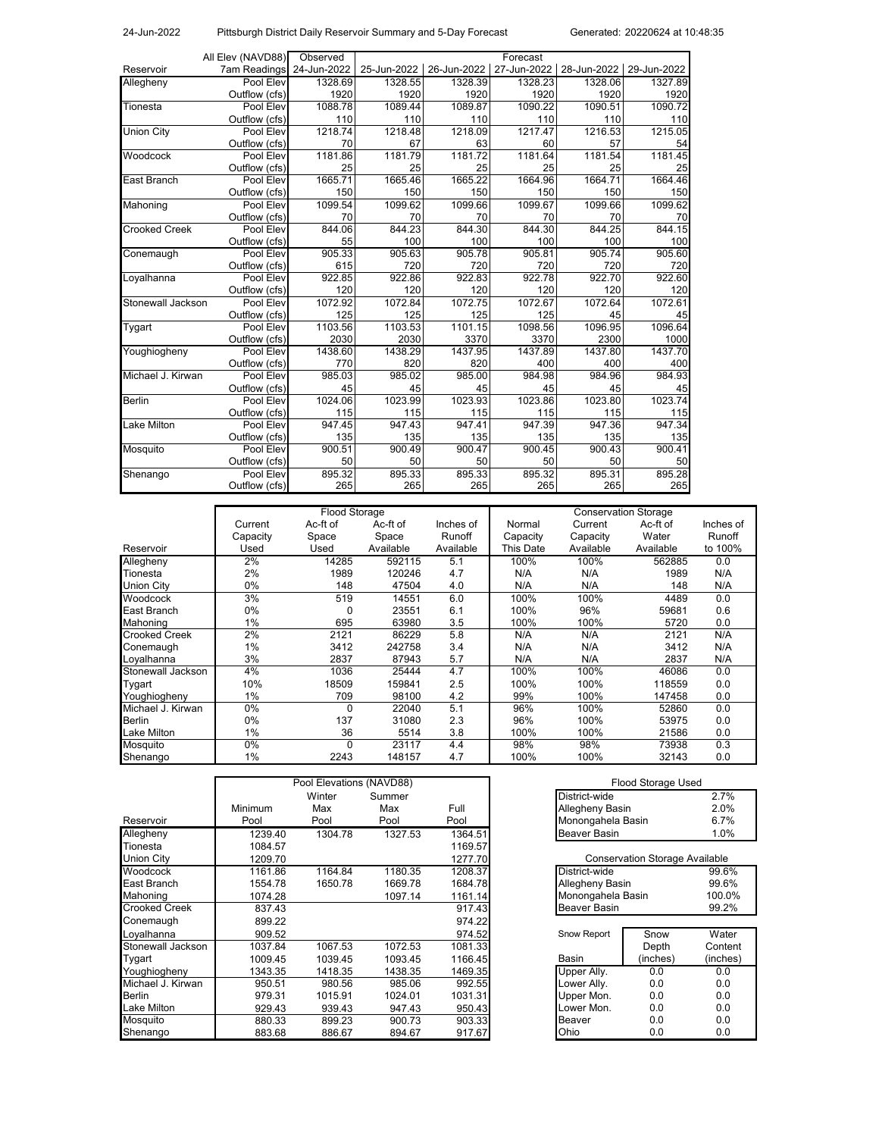24-Jun-2022 Pittsburgh District Daily Reservoir Summary and 5-Day Forecast

|                      | All Elev (NAVD88)   | Observed    |             |             | Forecast    |             |             |
|----------------------|---------------------|-------------|-------------|-------------|-------------|-------------|-------------|
| Reservoir            | <b>7am Readings</b> | 24-Jun-2022 | 25-Jun-2022 | 26-Jun-2022 | 27-Jun-2022 | 28-Jun-2022 | 29-Jun-2022 |
| Allegheny            | Pool Elev           | 1328.69     | 1328.55     | 1328.39     | 1328.23     | 1328.06     | 1327.89     |
|                      | Outflow (cfs)       | 1920        | 1920        | 1920        | 1920        | 1920        | 1920        |
| Tionesta             | Pool Elev           | 1088.78     | 1089.44     | 1089.87     | 1090.22     | 1090.51     | 1090.72     |
|                      | Outflow (cfs)       | 110         | 110         | 110         | 110         | 110         | 110         |
| <b>Union City</b>    | Pool Elev           | 1218.74     | 1218.48     | 1218.09     | 1217.47     | 1216.53     | 1215.05     |
|                      | Outflow (cfs)       | 70          | 67          | 63          | 60          | 57          | 54          |
| Woodcock             | Pool Elev           | 1181.86     | 1181.79     | 1181.72     | 1181.64     | 1181.54     | 1181.45     |
|                      | Outflow (cfs)       | 25          | 25          | 25          | 25          | 25          | 25          |
| East Branch          | Pool Elev           | 1665.71     | 1665.46     | 1665.22     | 1664.96     | 1664.71     | 1664.46     |
|                      | Outflow (cfs)       | 150         | 150         | 150         | 150         | 150         | 150         |
| Mahoning             | Pool Elev           | 1099.54     | 1099.62     | 1099.66     | 1099.67     | 1099.66     | 1099.62     |
|                      | Outflow (cfs)       | 70          | 70          | 70          | 70          | 70          | 70          |
| <b>Crooked Creek</b> | Pool Elev           | 844.06      | 844.23      | 844.30      | 844.30      | 844.25      | 844.15      |
|                      | Outflow (cfs)       | 55          | 100         | 100         | 100         | 100         | 100         |
| Conemaugh            | Pool Elev           | 905.33      | 905.63      | 905.78      | 905.81      | 905.74      | 905.60      |
|                      | Outflow (cfs)       | 615         | 720         | 720         | 720         | 720         | 720         |
| Loyalhanna           | Pool Elev           | 922.85      | 922.86      | 922.83      | 922.78      | 922.70      | 922.60      |
|                      | Outflow (cfs)       | 120         | 120         | 120         | 120         | 120         | 120         |
| Stonewall Jackson    | Pool Elev           | 1072.92     | 1072.84     | 1072.75     | 1072.67     | 1072.64     | 1072.61     |
|                      | Outflow (cfs)       | 125         | 125         | 125         | 125         | 45          | 45          |
| Tygart               | Pool Elev           | 1103.56     | 1103.53     | 1101.15     | 1098.56     | 1096.95     | 1096.64     |
|                      | Outflow (cfs)       | 2030        | 2030        | 3370        | 3370        | 2300        | 1000        |
| Youghiogheny         | Pool Elev           | 1438.60     | 1438.29     | 1437.95     | 1437.89     | 1437.80     | 1437.70     |
|                      | Outflow (cfs)       | 770         | 820         | 820         | 400         | 400         | 400         |
| Michael J. Kirwan    | Pool Elev           | 985.03      | 985.02      | 985.00      | 984.98      | 984.96      | 984.93      |
|                      | Outflow (cfs)       | 45          | 45          | 45          | 45          | 45          | 45          |
| <b>Berlin</b>        | Pool Elev           | 1024.06     | 1023.99     | 1023.93     | 1023.86     | 1023.80     | 1023.74     |
|                      | Outflow (cfs)       | 115         | 115         | 115         | 115         | 115         | 115         |
| Lake Milton          | Pool Elev           | 947.45      | 947.43      | 947.41      | 947.39      | 947.36      | 947.34      |
|                      | Outflow (cfs)       | 135         | 135         | 135         | 135         | 135         | 135         |
| Mosquito             | Pool Elev           | 900.51      | 900.49      | 900.47      | 900.45      | 900.43      | 900.41      |
|                      | Outflow (cfs)       | 50          | 50          | 50          | 50          | 50          | 50          |
| Shenango             | Pool Elev           | 895.32      | 895.33      | 895.33      | 895.32      | 895.31      | 895.28      |
|                      | Outflow (cfs)       | 265         | 265         | 265         | 265         | 265         | 265         |

|                      | Flood Storage |          |           |           | <b>Conservation Storage</b> |           |           |           |
|----------------------|---------------|----------|-----------|-----------|-----------------------------|-----------|-----------|-----------|
|                      | Current       | Ac-ft of | Ac-ft of  | Inches of | Normal                      | Current   | Ac-ft of  | Inches of |
|                      | Capacity      | Space    | Space     | Runoff    | Capacity                    | Capacity  | Water     | Runoff    |
| Reservoir            | Used          | Used     | Available | Available | This Date                   | Available | Available | to 100%   |
| Allegheny            | 2%            | 14285    | 592115    | 5.1       | 100%                        | 100%      | 562885    | 0.0       |
| Tionesta             | 2%            | 1989     | 120246    | 4.7       | N/A                         | N/A       | 1989      | N/A       |
| <b>Union City</b>    | 0%            | 148      | 47504     | 4.0       | N/A                         | N/A       | 148       | N/A       |
| Woodcock             | 3%            | 519      | 14551     | 6.0       | 100%                        | 100%      | 4489      | 0.0       |
| East Branch          | 0%            | 0        | 23551     | 6.1       | 100%                        | 96%       | 59681     | 0.6       |
| Mahoning             | 1%            | 695      | 63980     | 3.5       | 100%                        | 100%      | 5720      | 0.0       |
| <b>Crooked Creek</b> | 2%            | 2121     | 86229     | 5.8       | N/A                         | N/A       | 2121      | N/A       |
| Conemaugh            | 1%            | 3412     | 242758    | 3.4       | N/A                         | N/A       | 3412      | N/A       |
| Loyalhanna           | 3%            | 2837     | 87943     | 5.7       | N/A                         | N/A       | 2837      | N/A       |
| Stonewall Jackson    | 4%            | 1036     | 25444     | 4.7       | 100%                        | 100%      | 46086     | 0.0       |
| Tygart               | 10%           | 18509    | 159841    | 2.5       | 100%                        | 100%      | 118559    | 0.0       |
| Youghiogheny         | 1%            | 709      | 98100     | 4.2       | 99%                         | 100%      | 147458    | 0.0       |
| Michael J. Kirwan    | 0%            | O        | 22040     | 5.1       | 96%                         | 100%      | 52860     | 0.0       |
| <b>Berlin</b>        | 0%            | 137      | 31080     | 2.3       | 96%                         | 100%      | 53975     | 0.0       |
| Lake Milton          | 1%            | 36       | 5514      | 3.8       | 100%                        | 100%      | 21586     | 0.0       |
| Mosquito             | 0%            | 0        | 23117     | 4.4       | 98%                         | 98%       | 73938     | 0.3       |
| Shenango             | 1%            | 2243     | 148157    | 4.7       | 100%                        | 100%      | 32143     | 0.0       |

|                      | Pool Elevations (NAVD88) |         |         |         | Flood Storage Used                    |          |  |  |
|----------------------|--------------------------|---------|---------|---------|---------------------------------------|----------|--|--|
|                      |                          | Winter  | Summer  |         | District-wide                         | 2.7%     |  |  |
|                      | <b>Minimum</b>           | Max     | Max     | Full    | Allegheny Basin                       | 2.0%     |  |  |
| Reservoir            | Pool                     | Pool    | Pool    | Pool    | Monongahela Basin                     | 6.7%     |  |  |
| Allegheny            | 1239.40                  | 1304.78 | 1327.53 | 1364.51 | Beaver Basin                          | $1.0\%$  |  |  |
| Tionesta             | 1084.57                  |         |         | 1169.57 |                                       |          |  |  |
| <b>Union City</b>    | 1209.70                  |         |         | 1277.70 | <b>Conservation Storage Available</b> |          |  |  |
| Woodcock             | 1161.86                  | 1164.84 | 1180.35 | 1208.37 | District-wide                         | 99.6%    |  |  |
| East Branch          | 1554.78                  | 1650.78 | 1669.78 | 1684.78 | Allegheny Basin                       | 99.6%    |  |  |
| Mahoning             | 1074.28                  |         | 1097.14 | 1161.14 | Monongahela Basin                     | 100.0%   |  |  |
| <b>Crooked Creek</b> | 837.43                   |         |         | 917.43  | Beaver Basin                          | 99.2%    |  |  |
| Conemaugh            | 899.22                   |         |         | 974.22  |                                       |          |  |  |
| Loyalhanna           | 909.52                   |         |         | 974.52  | Snow Report<br>Snow                   | Water    |  |  |
| Stonewall Jackson    | 1037.84                  | 1067.53 | 1072.53 | 1081.33 | Depth                                 | Content  |  |  |
| Tygart               | 1009.45                  | 1039.45 | 1093.45 | 1166.45 | Basin<br>(inches)                     | (inches) |  |  |
| Youghiogheny         | 1343.35                  | 1418.35 | 1438.35 | 1469.35 | Upper Ally.<br>0.0                    | 0.0      |  |  |
| Michael J. Kirwan    | 950.51                   | 980.56  | 985.06  | 992.55  | Lower Ally.<br>0.0                    | 0.0      |  |  |
| <b>Berlin</b>        | 979.31                   | 1015.91 | 1024.01 | 1031.31 | Upper Mon.<br>0.0                     | 0.0      |  |  |
| <b>Lake Milton</b>   | 929.43                   | 939.43  | 947.43  | 950.43  | _ower Mon.<br>0.0                     | 0.0      |  |  |
| Mosquito             | 880.33                   | 899.23  | 900.73  | 903.33  | 0.0<br>Beaver                         | 0.0      |  |  |
| Shenango             | 883.68                   | 886.67  | 894.67  | 917.67  | Ohio<br>0.0                           | 0.0      |  |  |

|         | ol Elevations (NAVD88) |         | Flood Storage Used  |      |
|---------|------------------------|---------|---------------------|------|
| Winter  | Summer                 |         | District-wide       | 2.7% |
| Max     | Max                    | Full    | Allegheny Basin     | 2.0% |
| Pool    | Pool                   | Pool    | Monongahela Basin   | 6.7% |
| 1304.78 | 1327.53                | 1364.51 | <b>Beaver Basin</b> | 1.0% |

| <b>Conservation Storage Available</b> |          |          |  |  |  |  |
|---------------------------------------|----------|----------|--|--|--|--|
| District-wide                         | 99.6%    |          |  |  |  |  |
| Allegheny Basin                       |          | 99.6%    |  |  |  |  |
| Monongahela Basin                     |          | 100.0%   |  |  |  |  |
| <b>Beaver Basin</b>                   |          | 99.2%    |  |  |  |  |
|                                       |          |          |  |  |  |  |
| Snow Report                           | Snow     | Water    |  |  |  |  |
|                                       | Depth    | Content  |  |  |  |  |
| Basin                                 | (inches) | (inches) |  |  |  |  |
| Upper Ally.                           | 0 Q      | 0.0      |  |  |  |  |
| Lower Ally.                           | 0 Q      | 0.0      |  |  |  |  |
| Upper Mon.                            | 0.0      | 0.0      |  |  |  |  |
| Lower Mon.                            | 0.0      | 0.0      |  |  |  |  |
| Beaver                                | 0.0      |          |  |  |  |  |
|                                       | 0.0      |          |  |  |  |  |